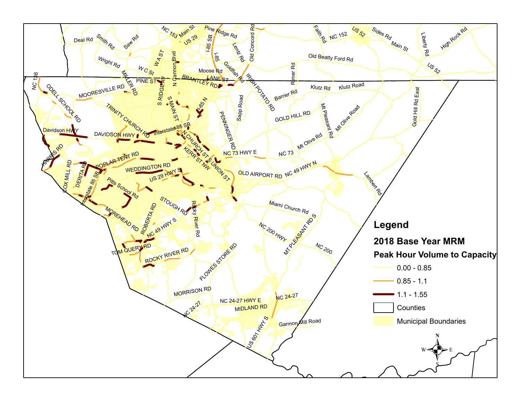